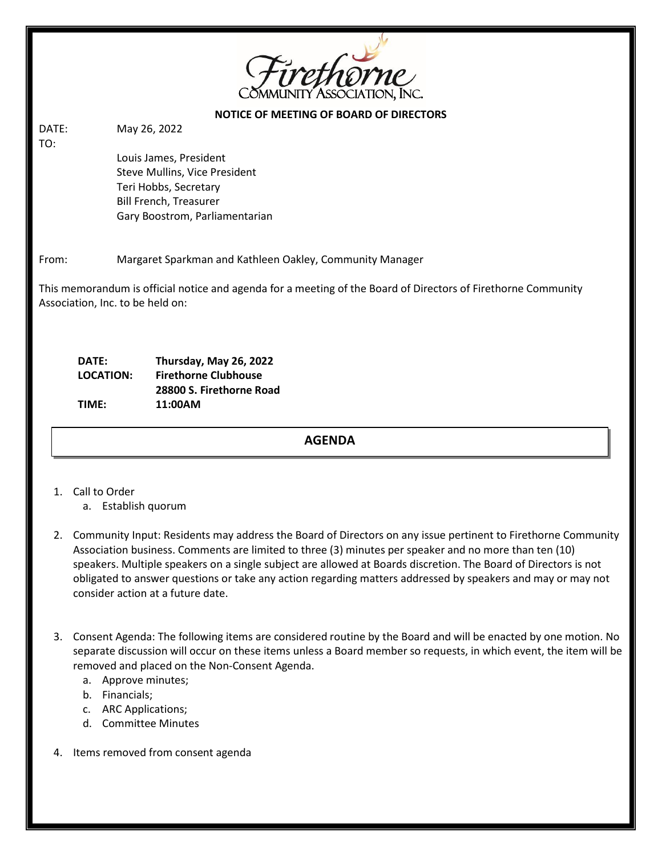

### **NOTICE OF MEETING OF BOARD OF DIRECTORS**

DATE: May 26, 2022 TO:

> Louis James, President Steve Mullins, Vice President Teri Hobbs, Secretary Bill French, Treasurer Gary Boostrom, Parliamentarian

# From: Margaret Sparkman and Kathleen Oakley, Community Manager

This memorandum is official notice and agenda for a meeting of the Board of Directors of Firethorne Community Association, Inc. to be held on:

| DATE:            | Thursday, May 26, 2022      |
|------------------|-----------------------------|
| <b>LOCATION:</b> | <b>Firethorne Clubhouse</b> |
|                  | 28800 S. Firethorne Road    |
| TIME:            | 11:00AM                     |
|                  |                             |

#### a. Review October 22, 2020 meeting minutes. **AGENDA**

- 1. Call to Order
	- a. Establish quorum
- 2. Community Input: Residents may address the Board of Directors on any issue pertinent to Firethorne Community Association business. Comments are limited to three (3) minutes per speaker and no more than ten (10) speakers. Multiple speakers on a single subject are allowed at Boards discretion. The Board of Directors is not obligated to answer questions or take any action regarding matters addressed by speakers and may or may not consider action at a future date.
- 3. Consent Agenda: The following items are considered routine by the Board and will be enacted by one motion. No separate discussion will occur on these items unless a Board member so requests, in which event, the item will be removed and placed on the Non-Consent Agenda.
	- a. Approve minutes;
	- b. Financials;
	- c. ARC Applications;
	- d. Committee Minutes
- 4. Items removed from consent agenda